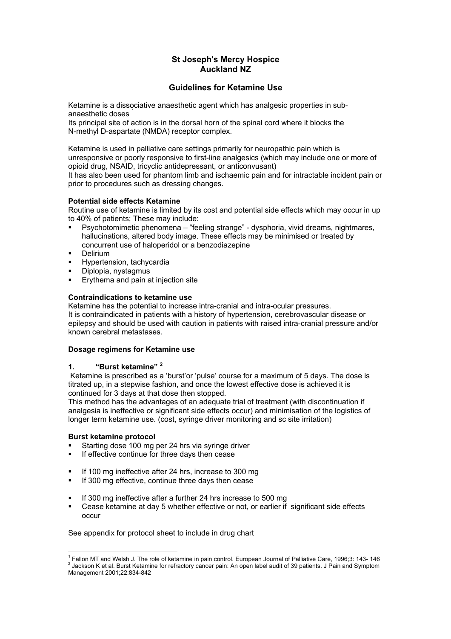# **St Joseph's Mercy Hospice Auckland NZ**

## **Guidelines for Ketamine Use**

Ketamine is a dissociative anaesthetic agent which has analgesic properties in subanaesthetic doses

Its principal site of action is in the dorsal horn of the spinal cord where it blocks the N-methyl D-aspartate (NMDA) receptor complex.

Ketamine is used in palliative care settings primarily for neuropathic pain which is unresponsive or poorly responsive to first-line analgesics (which may include one or more of opioid drug, NSAID, tricyclic antidepressant, or anticonvusant)

It has also been used for phantom limb and ischaemic pain and for intractable incident pain or prior to procedures such as dressing changes.

#### **Potential side effects Ketamine**

Routine use of ketamine is limited by its cost and potential side effects which may occur in up to 40% of patients; These may include:

- Psychotomimetic phenomena "feeling strange" dysphoria, vivid dreams, nightmares, hallucinations, altered body image. These effects may be minimised or treated by concurrent use of haloperidol or a benzodiazepine
- **-** Delirium
- Hypertension, tachycardia
- Diplopia, nystagmus
- Erythema and pain at injection site

## **Contraindications to ketamine use**

Ketamine has the potential to increase intra-cranial and intra-ocular pressures. It is contraindicated in patients with a history of hypertension, cerebrovascular disease or epilepsy and should be used with caution in patients with raised intra-cranial pressure and/or known cerebral metastases.

#### **Dosage regimens for Ketamine use**

## **1. "Burst ketamine" [2](#page-0-1)**

 Ketamine is prescribed as a 'burst'or 'pulse' course for a maximum of 5 days. The dose is titrated up, in a stepwise fashion, and once the lowest effective dose is achieved it is continued for 3 days at that dose then stopped.

This method has the advantages of an adequate trial of treatment (with discontinuation if analgesia is ineffective or significant side effects occur) and minimisation of the logistics of longer term ketamine use. (cost, syringe driver monitoring and sc site irritation)

#### **Burst ketamine protocol**

- Starting dose 100 mg per 24 hrs via syringe driver
- **If effective continue for three days then cease**
- If 100 mg ineffective after 24 hrs, increase to 300 mg
- If 300 mg effective, continue three days then cease
- If 300 mg ineffective after a further 24 hrs increase to 500 mg
- Cease ketamine at day 5 whether effective or not, or earlier if significant side effects occur

See appendix for protocol sheet to include in drug chart

<span id="page-0-1"></span><span id="page-0-0"></span>l <sup>1</sup> Fallon MT and Welsh J. The role of ketamine in pain control. European Journal of Palliative Care, 1996;3: 143-146<br><sup>2</sup> Jackson K at al. Burat Ketamine for refractory capear pain: An apap label qualit of 20 patients. J 2 Jackson K et al. Burst Ketamine for refractory cancer pain: An open label audit of 39 patients. J Pain and Symptom Management 2001;22:834-842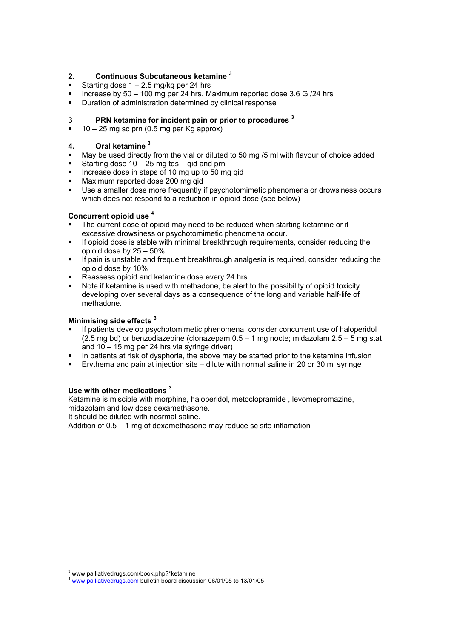## **2. Continuous Subcutaneous ketamine [3](#page-1-0)**

- Starting dose 1 2.5 mg/kg per 24 hrs
- Increase by 50 100 mg per 24 hrs. Maximum reported dose 3.6 G /24 hrs
- **•** Duration of administration determined by clinical response

# 3 **PRN ketamine for incident pain or prior to procedures <sup>3</sup>**

 $10 - 25$  mg sc prn (0.5 mg per Kg approx)

## **4. Oral ketamine 3**

- May be used directly from the vial or diluted to 50 mg /5 ml with flavour of choice added
- Starting dose  $10 25$  mg tds gid and prn
- Increase dose in steps of 10 mg up to 50 mg qid
- Maximum reported dose 200 mg qid
- Use a smaller dose more frequently if psychotomimetic phenomena or drowsiness occurs which does not respond to a reduction in opioid dose (see below)

### **Concurrent opioid use [4](#page-1-1)**

- The current dose of opioid may need to be reduced when starting ketamine or if excessive drowsiness or psychotomimetic phenomena occur.
- **If opioid dose is stable with minimal breakthrough requirements, consider reducing the** opioid dose by 25 – 50%
- If pain is unstable and frequent breakthrough analgesia is required, consider reducing the opioid dose by 10%
- Reassess opioid and ketamine dose every 24 hrs
- Note if ketamine is used with methadone, be alert to the possibility of opioid toxicity developing over several days as a consequence of the long and variable half-life of methadone.

## **Minimising side effects 3**

- If patients develop psychotomimetic phenomena, consider concurrent use of haloperidol  $(2.5 \text{ mg bd})$  or benzodiazepine (clonazepam  $0.5 - 1$  mg nocte; midazolam  $2.5 - 5$  mg stat and 10 – 15 mg per 24 hrs via syringe driver)
- In patients at risk of dysphoria, the above may be started prior to the ketamine infusion
- Erythema and pain at injection site dilute with normal saline in 20 or 30 ml syringe

### **Use with other medications <sup>3</sup>**

Ketamine is miscible with morphine, haloperidol, metoclopramide , levomepromazine, midazolam and low dose dexamethasone.

It should be diluted with nosrmal saline.

Addition of 0.5 – 1 mg of dexamethasone may reduce sc site inflamation

l <sup>3</sup> www.palliativedrugs.com/book.php?\*ketamine

<span id="page-1-1"></span><span id="page-1-0"></span>[www.palliativedrugs.com](http://www.palliativedrugs.com/) bulletin board discussion 06/01/05 to 13/01/05